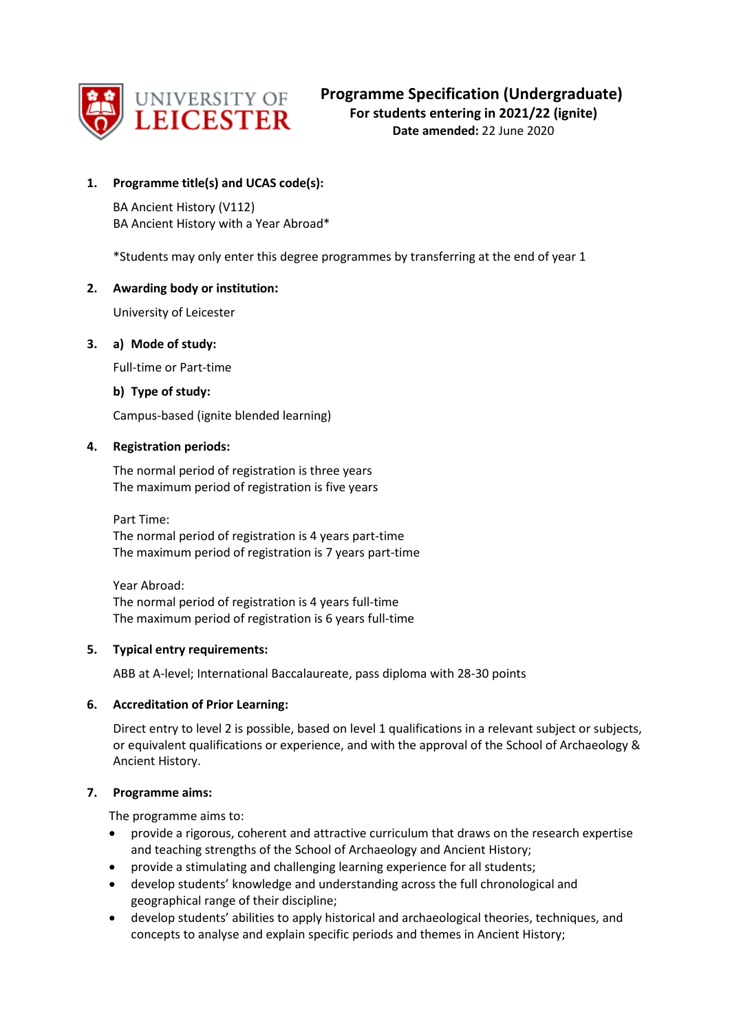

# **1. Programme title(s) and UCAS code(s):**

BA Ancient History (V112) BA Ancient History with a Year Abroad\*

\*Students may only enter this degree programmes by transferring at the end of year 1

## **2. Awarding body or institution:**

University of Leicester

## **3. a) Mode of study:**

Full-time or Part-time

## **b) Type of study:**

Campus-based (ignite blended learning)

## **4. Registration periods:**

The normal period of registration is three years The maximum period of registration is five years

Part Time: The normal period of registration is 4 years part-time The maximum period of registration is 7 years part-time

Year Abroad: The normal period of registration is 4 years full-time The maximum period of registration is 6 years full-time

## **5. Typical entry requirements:**

ABB at A-level; International Baccalaureate, pass diploma with 28-30 points

# **6. Accreditation of Prior Learning:**

Direct entry to level 2 is possible, based on level 1 qualifications in a relevant subject or subjects, or equivalent qualifications or experience, and with the approval of the School of Archaeology & Ancient History.

## **7. Programme aims:**

The programme aims to:

- provide a rigorous, coherent and attractive curriculum that draws on the research expertise and teaching strengths of the School of Archaeology and Ancient History;
- provide a stimulating and challenging learning experience for all students;
- develop students' knowledge and understanding across the full chronological and geographical range of their discipline;
- develop students' abilities to apply historical and archaeological theories, techniques, and concepts to analyse and explain specific periods and themes in Ancient History;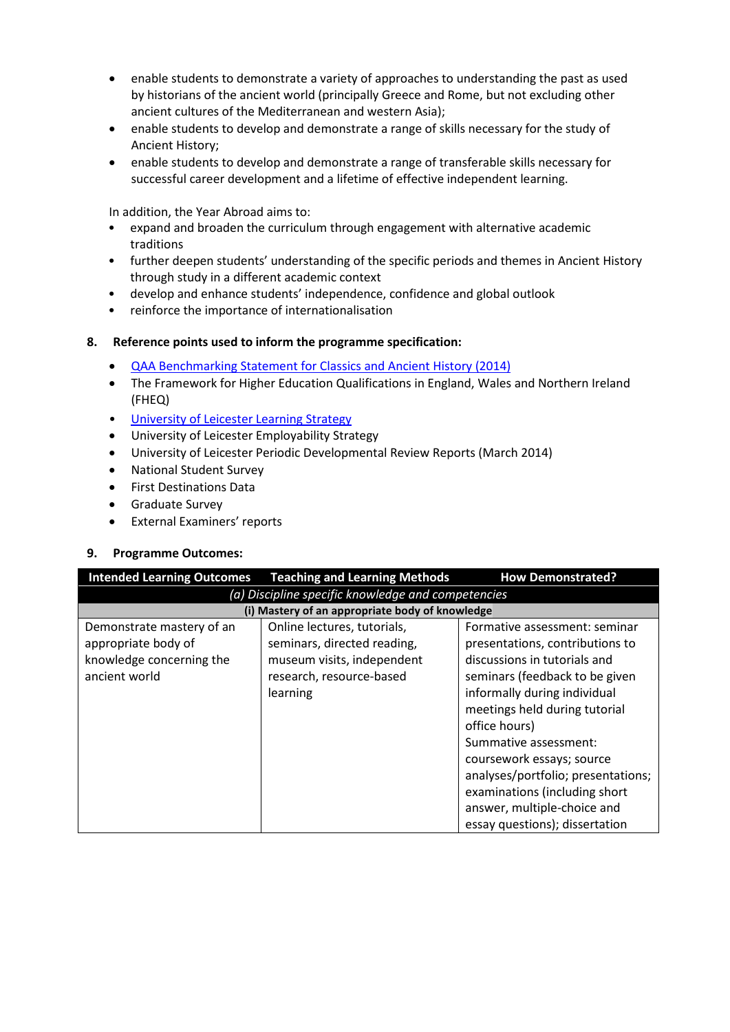- enable students to demonstrate a variety of approaches to understanding the past as used by historians of the ancient world (principally Greece and Rome, but not excluding other ancient cultures of the Mediterranean and western Asia);
- enable students to develop and demonstrate a range of skills necessary for the study of Ancient History;
- enable students to develop and demonstrate a range of transferable skills necessary for successful career development and a lifetime of effective independent learning.

In addition, the Year Abroad aims to:

- expand and broaden the curriculum through engagement with alternative academic traditions
- further deepen students' understanding of the specific periods and themes in Ancient History through study in a different academic context
- develop and enhance students' independence, confidence and global outlook
- reinforce the importance of internationalisation

## **8. Reference points used to inform the programme specification:**

- [QAA Benchmarking Statement for Classics and Ancient History \(2014\)](http://www.qaa.ac.uk/en/Publications/Documents/SBS-classics-14.pdf)
- The Framework for Higher Education Qualifications in England, Wales and Northern Ireland (FHEQ)
- [University of Leicester Learning Strategy](http://www2.le.ac.uk/offices/sas2/quality/learnteach)
- University of Leicester Employability Strategy
- University of Leicester Periodic Developmental Review Reports (March 2014)
- National Student Survey
- First Destinations Data
- Graduate Survey
- External Examiners' reports

## **9. Programme Outcomes:**

| <b>Intended Learning Outcomes</b>                  | <b>Teaching and Learning Methods</b>            | <b>How Demonstrated?</b>           |  |  |  |  |  |
|----------------------------------------------------|-------------------------------------------------|------------------------------------|--|--|--|--|--|
| (a) Discipline specific knowledge and competencies |                                                 |                                    |  |  |  |  |  |
|                                                    | (i) Mastery of an appropriate body of knowledge |                                    |  |  |  |  |  |
| Demonstrate mastery of an                          | Online lectures, tutorials,                     | Formative assessment: seminar      |  |  |  |  |  |
| appropriate body of                                | seminars, directed reading,                     | presentations, contributions to    |  |  |  |  |  |
| knowledge concerning the                           | museum visits, independent                      | discussions in tutorials and       |  |  |  |  |  |
| ancient world                                      | research, resource-based                        | seminars (feedback to be given     |  |  |  |  |  |
|                                                    | learning                                        | informally during individual       |  |  |  |  |  |
|                                                    |                                                 | meetings held during tutorial      |  |  |  |  |  |
|                                                    |                                                 | office hours)                      |  |  |  |  |  |
|                                                    |                                                 | Summative assessment:              |  |  |  |  |  |
|                                                    |                                                 | coursework essays; source          |  |  |  |  |  |
|                                                    |                                                 | analyses/portfolio; presentations; |  |  |  |  |  |
|                                                    |                                                 | examinations (including short      |  |  |  |  |  |
|                                                    |                                                 | answer, multiple-choice and        |  |  |  |  |  |
|                                                    |                                                 | essay questions); dissertation     |  |  |  |  |  |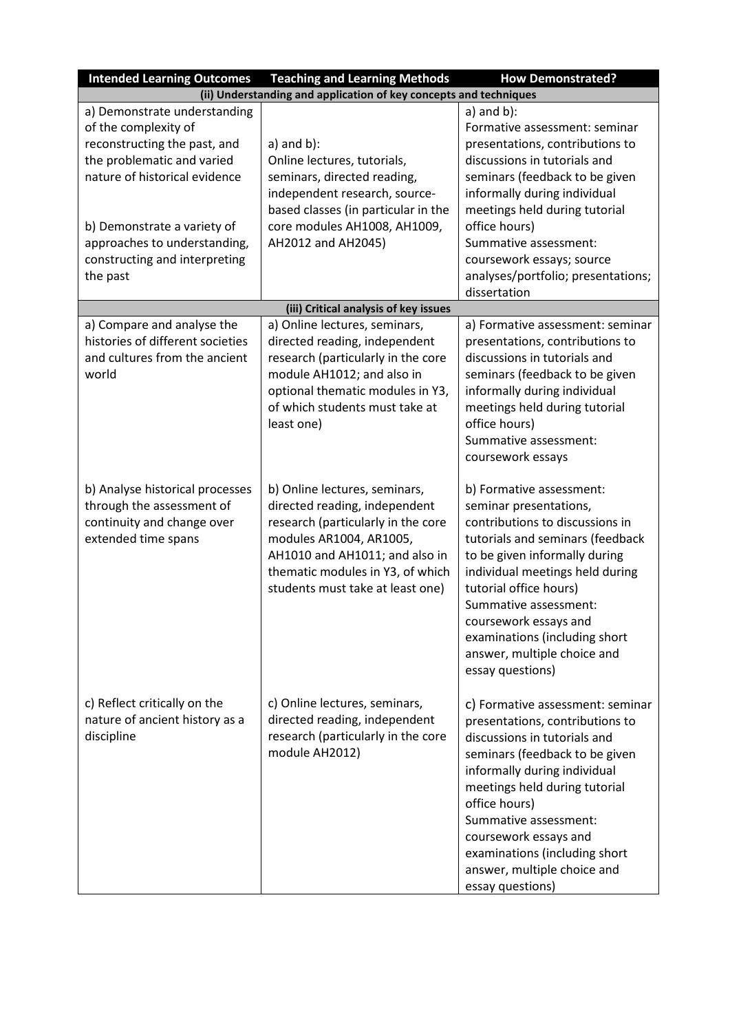| <b>Intended Learning Outcomes</b>                                                                                                                                                                                                                               | <b>Teaching and Learning Methods</b>                                                                                                                                                                                                      | <b>How Demonstrated?</b>                                                                                                                                                                                                                                                                                                                                      |
|-----------------------------------------------------------------------------------------------------------------------------------------------------------------------------------------------------------------------------------------------------------------|-------------------------------------------------------------------------------------------------------------------------------------------------------------------------------------------------------------------------------------------|---------------------------------------------------------------------------------------------------------------------------------------------------------------------------------------------------------------------------------------------------------------------------------------------------------------------------------------------------------------|
|                                                                                                                                                                                                                                                                 | (ii) Understanding and application of key concepts and techniques                                                                                                                                                                         |                                                                                                                                                                                                                                                                                                                                                               |
| a) Demonstrate understanding<br>of the complexity of<br>reconstructing the past, and<br>the problematic and varied<br>nature of historical evidence<br>b) Demonstrate a variety of<br>approaches to understanding,<br>constructing and interpreting<br>the past | $a)$ and $b)$ :<br>Online lectures, tutorials,<br>seminars, directed reading,<br>independent research, source-<br>based classes (in particular in the<br>core modules AH1008, AH1009,<br>AH2012 and AH2045)                               | $a)$ and $b)$ :<br>Formative assessment: seminar<br>presentations, contributions to<br>discussions in tutorials and<br>seminars (feedback to be given<br>informally during individual<br>meetings held during tutorial<br>office hours)<br>Summative assessment:<br>coursework essays; source<br>analyses/portfolio; presentations;<br>dissertation           |
|                                                                                                                                                                                                                                                                 | (iii) Critical analysis of key issues                                                                                                                                                                                                     |                                                                                                                                                                                                                                                                                                                                                               |
| a) Compare and analyse the<br>histories of different societies<br>and cultures from the ancient<br>world                                                                                                                                                        | a) Online lectures, seminars,<br>directed reading, independent<br>research (particularly in the core<br>module AH1012; and also in<br>optional thematic modules in Y3,<br>of which students must take at<br>least one)                    | a) Formative assessment: seminar<br>presentations, contributions to<br>discussions in tutorials and<br>seminars (feedback to be given<br>informally during individual<br>meetings held during tutorial<br>office hours)<br>Summative assessment:<br>coursework essays                                                                                         |
| b) Analyse historical processes<br>through the assessment of<br>continuity and change over<br>extended time spans                                                                                                                                               | b) Online lectures, seminars,<br>directed reading, independent<br>research (particularly in the core<br>modules AR1004, AR1005,<br>AH1010 and AH1011; and also in<br>thematic modules in Y3, of which<br>students must take at least one) | b) Formative assessment:<br>seminar presentations,<br>contributions to discussions in<br>tutorials and seminars (feedback<br>to be given informally during<br>individual meetings held during<br>tutorial office hours)<br>Summative assessment:<br>coursework essays and<br>examinations (including short<br>answer, multiple choice and<br>essay questions) |
| c) Reflect critically on the<br>nature of ancient history as a<br>discipline                                                                                                                                                                                    | c) Online lectures, seminars,<br>directed reading, independent<br>research (particularly in the core<br>module AH2012)                                                                                                                    | c) Formative assessment: seminar<br>presentations, contributions to<br>discussions in tutorials and<br>seminars (feedback to be given<br>informally during individual<br>meetings held during tutorial<br>office hours)<br>Summative assessment:<br>coursework essays and<br>examinations (including short<br>answer, multiple choice and<br>essay questions) |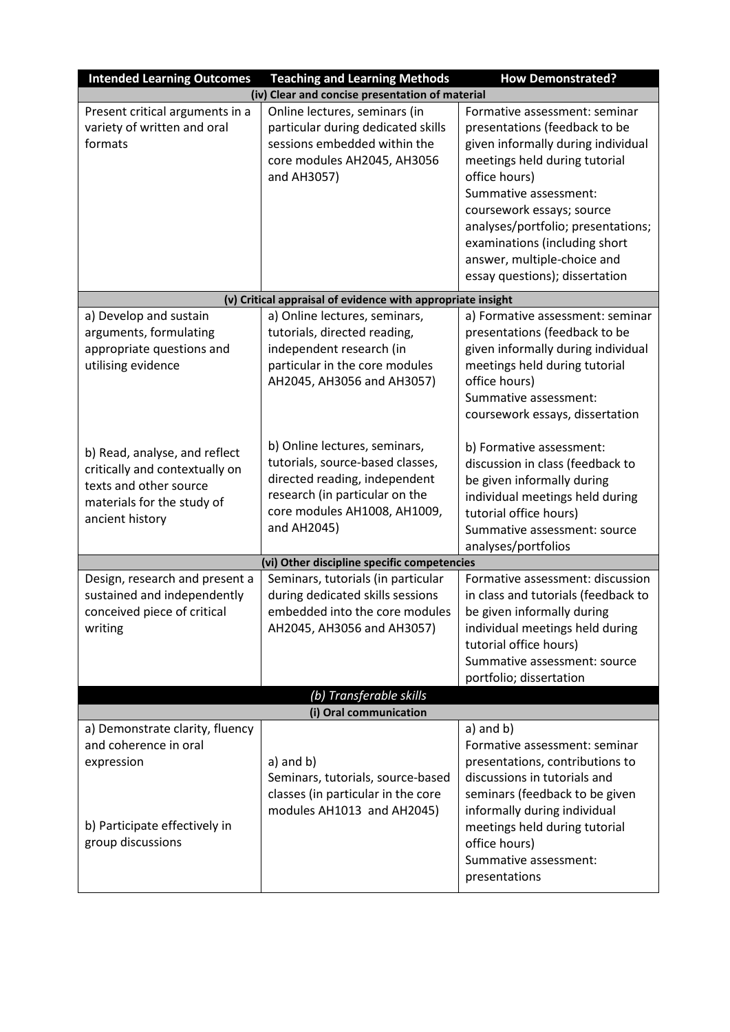| <b>Intended Learning Outcomes</b>                                                                                                          | <b>Teaching and Learning Methods</b>                                                                                                                                                | <b>How Demonstrated?</b>                                                                                                                                                                                                                                                                                                                             |
|--------------------------------------------------------------------------------------------------------------------------------------------|-------------------------------------------------------------------------------------------------------------------------------------------------------------------------------------|------------------------------------------------------------------------------------------------------------------------------------------------------------------------------------------------------------------------------------------------------------------------------------------------------------------------------------------------------|
| (iv)                                                                                                                                       | Clear and concise presentation of material                                                                                                                                          |                                                                                                                                                                                                                                                                                                                                                      |
| Present critical arguments in a<br>variety of written and oral<br>formats                                                                  | Online lectures, seminars (in<br>particular during dedicated skills<br>sessions embedded within the<br>core modules AH2045, AH3056<br>and AH3057)                                   | Formative assessment: seminar<br>presentations (feedback to be<br>given informally during individual<br>meetings held during tutorial<br>office hours)<br>Summative assessment:<br>coursework essays; source<br>analyses/portfolio; presentations;<br>examinations (including short<br>answer, multiple-choice and<br>essay questions); dissertation |
|                                                                                                                                            | (v) Critical appraisal of evidence with appropriate insight                                                                                                                         |                                                                                                                                                                                                                                                                                                                                                      |
| a) Develop and sustain<br>arguments, formulating<br>appropriate questions and<br>utilising evidence                                        | a) Online lectures, seminars,<br>tutorials, directed reading,<br>independent research (in<br>particular in the core modules<br>AH2045, AH3056 and AH3057)                           | a) Formative assessment: seminar<br>presentations (feedback to be<br>given informally during individual<br>meetings held during tutorial<br>office hours)<br>Summative assessment:<br>coursework essays, dissertation                                                                                                                                |
| b) Read, analyse, and reflect<br>critically and contextually on<br>texts and other source<br>materials for the study of<br>ancient history | b) Online lectures, seminars,<br>tutorials, source-based classes,<br>directed reading, independent<br>research (in particular on the<br>core modules AH1008, AH1009,<br>and AH2045) | b) Formative assessment:<br>discussion in class (feedback to<br>be given informally during<br>individual meetings held during<br>tutorial office hours)<br>Summative assessment: source<br>analyses/portfolios                                                                                                                                       |
|                                                                                                                                            | (vi) Other discipline specific competencies                                                                                                                                         |                                                                                                                                                                                                                                                                                                                                                      |
| Design, research and present a<br>sustained and independently<br>conceived piece of critical<br>writing                                    | Seminars, tutorials (in particular<br>during dedicated skills sessions<br>embedded into the core modules<br>AH2045, AH3056 and AH3057)                                              | Formative assessment: discussion<br>in class and tutorials (feedback to<br>be given informally during<br>individual meetings held during<br>tutorial office hours)<br>Summative assessment: source<br>portfolio; dissertation                                                                                                                        |
|                                                                                                                                            | (b) Transferable skills                                                                                                                                                             |                                                                                                                                                                                                                                                                                                                                                      |
|                                                                                                                                            | (i) Oral communication                                                                                                                                                              |                                                                                                                                                                                                                                                                                                                                                      |
| a) Demonstrate clarity, fluency<br>and coherence in oral<br>expression<br>b) Participate effectively in<br>group discussions               | $a)$ and $b)$<br>Seminars, tutorials, source-based<br>classes (in particular in the core<br>modules AH1013 and AH2045)                                                              | $a)$ and $b)$<br>Formative assessment: seminar<br>presentations, contributions to<br>discussions in tutorials and<br>seminars (feedback to be given<br>informally during individual<br>meetings held during tutorial<br>office hours)<br>Summative assessment:<br>presentations                                                                      |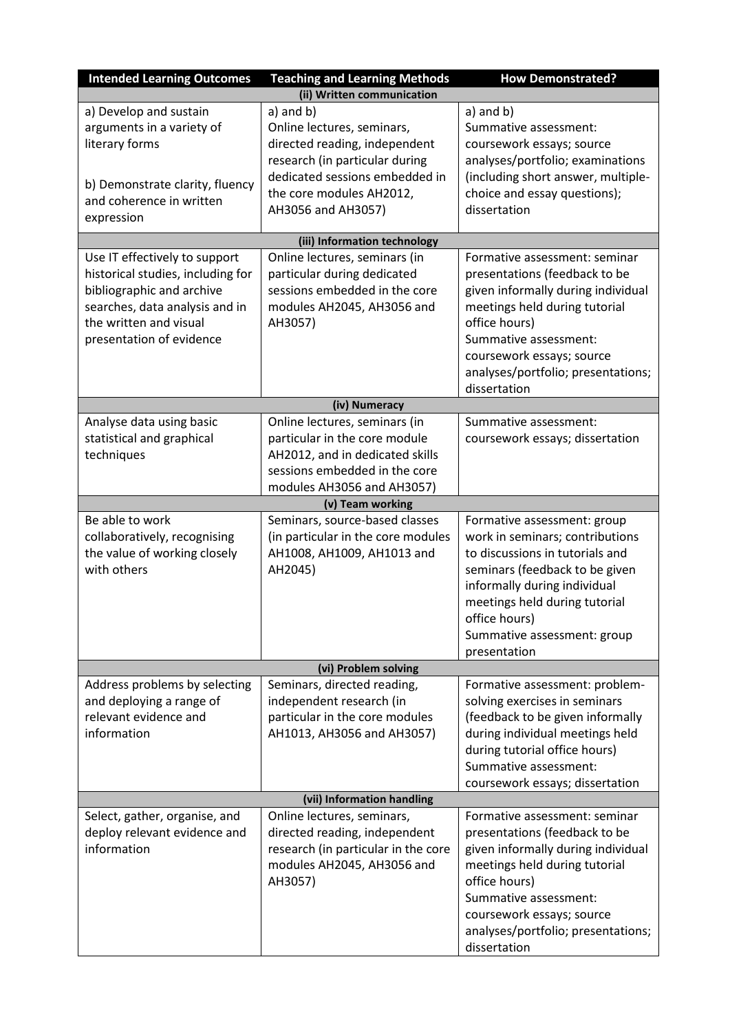| <b>Intended Learning Outcomes</b><br><b>Teaching and Learning Methods</b><br><b>How Demonstrated?</b> |                                                                      |                                                                |  |  |  |  |  |  |  |
|-------------------------------------------------------------------------------------------------------|----------------------------------------------------------------------|----------------------------------------------------------------|--|--|--|--|--|--|--|
|                                                                                                       | (ii) Written communication                                           |                                                                |  |  |  |  |  |  |  |
| a) Develop and sustain                                                                                | a) and b)                                                            | $a)$ and $b)$                                                  |  |  |  |  |  |  |  |
| arguments in a variety of                                                                             | Online lectures, seminars,                                           | Summative assessment:                                          |  |  |  |  |  |  |  |
| literary forms                                                                                        | directed reading, independent                                        | coursework essays; source                                      |  |  |  |  |  |  |  |
|                                                                                                       | research (in particular during                                       | analyses/portfolio; examinations                               |  |  |  |  |  |  |  |
| b) Demonstrate clarity, fluency                                                                       | dedicated sessions embedded in                                       | (including short answer, multiple-                             |  |  |  |  |  |  |  |
| and coherence in written                                                                              | the core modules AH2012,                                             | choice and essay questions);                                   |  |  |  |  |  |  |  |
| expression                                                                                            | AH3056 and AH3057)                                                   | dissertation                                                   |  |  |  |  |  |  |  |
|                                                                                                       | (iii) Information technology                                         |                                                                |  |  |  |  |  |  |  |
| Use IT effectively to support                                                                         | Online lectures, seminars (in                                        | Formative assessment: seminar                                  |  |  |  |  |  |  |  |
| historical studies, including for                                                                     | particular during dedicated                                          | presentations (feedback to be                                  |  |  |  |  |  |  |  |
| bibliographic and archive                                                                             | sessions embedded in the core                                        | given informally during individual                             |  |  |  |  |  |  |  |
| searches, data analysis and in                                                                        | modules AH2045, AH3056 and                                           | meetings held during tutorial                                  |  |  |  |  |  |  |  |
| the written and visual                                                                                | AH3057)                                                              | office hours)                                                  |  |  |  |  |  |  |  |
| presentation of evidence                                                                              |                                                                      | Summative assessment:                                          |  |  |  |  |  |  |  |
|                                                                                                       |                                                                      | coursework essays; source                                      |  |  |  |  |  |  |  |
|                                                                                                       |                                                                      | analyses/portfolio; presentations;                             |  |  |  |  |  |  |  |
|                                                                                                       |                                                                      | dissertation                                                   |  |  |  |  |  |  |  |
|                                                                                                       | (iv) Numeracy                                                        |                                                                |  |  |  |  |  |  |  |
| Analyse data using basic                                                                              | Online lectures, seminars (in                                        | Summative assessment:                                          |  |  |  |  |  |  |  |
| statistical and graphical                                                                             | particular in the core module                                        | coursework essays; dissertation                                |  |  |  |  |  |  |  |
| techniques                                                                                            | AH2012, and in dedicated skills                                      |                                                                |  |  |  |  |  |  |  |
|                                                                                                       | sessions embedded in the core                                        |                                                                |  |  |  |  |  |  |  |
|                                                                                                       | modules AH3056 and AH3057)                                           |                                                                |  |  |  |  |  |  |  |
| Be able to work                                                                                       | (v) Team working                                                     |                                                                |  |  |  |  |  |  |  |
| collaboratively, recognising                                                                          | Seminars, source-based classes<br>(in particular in the core modules | Formative assessment: group<br>work in seminars; contributions |  |  |  |  |  |  |  |
| the value of working closely                                                                          | AH1008, AH1009, AH1013 and                                           | to discussions in tutorials and                                |  |  |  |  |  |  |  |
| with others                                                                                           | AH2045)                                                              | seminars (feedback to be given                                 |  |  |  |  |  |  |  |
|                                                                                                       |                                                                      | informally during individual                                   |  |  |  |  |  |  |  |
|                                                                                                       |                                                                      | meetings held during tutorial                                  |  |  |  |  |  |  |  |
|                                                                                                       |                                                                      | office hours)                                                  |  |  |  |  |  |  |  |
|                                                                                                       |                                                                      | Summative assessment: group                                    |  |  |  |  |  |  |  |
|                                                                                                       |                                                                      | presentation                                                   |  |  |  |  |  |  |  |
|                                                                                                       | (vi) Problem solving                                                 |                                                                |  |  |  |  |  |  |  |
| Address problems by selecting                                                                         | Seminars, directed reading,                                          | Formative assessment: problem-                                 |  |  |  |  |  |  |  |
| and deploying a range of                                                                              | independent research (in                                             | solving exercises in seminars                                  |  |  |  |  |  |  |  |
| relevant evidence and                                                                                 | particular in the core modules                                       | (feedback to be given informally                               |  |  |  |  |  |  |  |
| information                                                                                           | AH1013, AH3056 and AH3057)                                           | during individual meetings held                                |  |  |  |  |  |  |  |
|                                                                                                       |                                                                      | during tutorial office hours)                                  |  |  |  |  |  |  |  |
|                                                                                                       |                                                                      | Summative assessment:                                          |  |  |  |  |  |  |  |
|                                                                                                       |                                                                      | coursework essays; dissertation                                |  |  |  |  |  |  |  |
|                                                                                                       | (vii) Information handling                                           |                                                                |  |  |  |  |  |  |  |
| Select, gather, organise, and                                                                         | Online lectures, seminars,                                           | Formative assessment: seminar                                  |  |  |  |  |  |  |  |
| deploy relevant evidence and                                                                          | directed reading, independent                                        | presentations (feedback to be                                  |  |  |  |  |  |  |  |
| information                                                                                           | research (in particular in the core                                  | given informally during individual                             |  |  |  |  |  |  |  |
|                                                                                                       | modules AH2045, AH3056 and                                           | meetings held during tutorial                                  |  |  |  |  |  |  |  |
|                                                                                                       | AH3057)                                                              | office hours)                                                  |  |  |  |  |  |  |  |
|                                                                                                       |                                                                      | Summative assessment:                                          |  |  |  |  |  |  |  |
|                                                                                                       |                                                                      | coursework essays; source                                      |  |  |  |  |  |  |  |
|                                                                                                       |                                                                      | analyses/portfolio; presentations;                             |  |  |  |  |  |  |  |
|                                                                                                       |                                                                      | dissertation                                                   |  |  |  |  |  |  |  |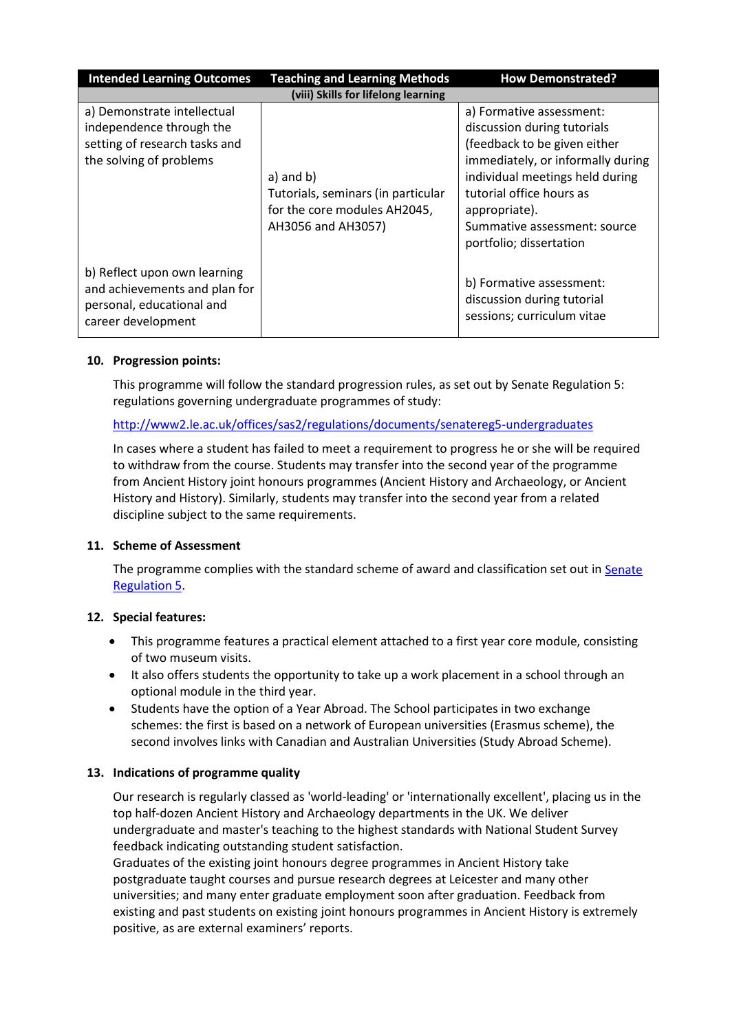| <b>Intended Learning Outcomes</b>                                                                                   | <b>How Demonstrated?</b>                                                                                  |                                                                                                                                                                                                                                                                         |
|---------------------------------------------------------------------------------------------------------------------|-----------------------------------------------------------------------------------------------------------|-------------------------------------------------------------------------------------------------------------------------------------------------------------------------------------------------------------------------------------------------------------------------|
|                                                                                                                     | (viii) Skills for lifelong learning                                                                       |                                                                                                                                                                                                                                                                         |
| a) Demonstrate intellectual<br>independence through the<br>setting of research tasks and<br>the solving of problems | $a)$ and $b)$<br>Tutorials, seminars (in particular<br>for the core modules AH2045,<br>AH3056 and AH3057) | a) Formative assessment:<br>discussion during tutorials<br>(feedback to be given either<br>immediately, or informally during<br>individual meetings held during<br>tutorial office hours as<br>appropriate).<br>Summative assessment: source<br>portfolio; dissertation |
| b) Reflect upon own learning<br>and achievements and plan for<br>personal, educational and<br>career development    |                                                                                                           | b) Formative assessment:<br>discussion during tutorial<br>sessions; curriculum vitae                                                                                                                                                                                    |

## **10. Progression points:**

This programme will follow the standard progression rules, as set out by Senate Regulation 5: regulations governing undergraduate programmes of study:

## <http://www2.le.ac.uk/offices/sas2/regulations/documents/senatereg5-undergraduates>

In cases where a student has failed to meet a requirement to progress he or she will be required to withdraw from the course. Students may transfer into the second year of the programme from Ancient History joint honours programmes (Ancient History and Archaeology, or Ancient History and History). Similarly, students may transfer into the second year from a related discipline subject to the same requirements.

## **11. Scheme of Assessment**

The programme complies with the standard scheme of award and classification set out in Senate [Regulation 5.](http://www2.le.ac.uk/offices/sas2/regulations/documents/senatereg5-undergraduates)

## **12. Special features:**

- This programme features a practical element attached to a first year core module, consisting of two museum visits.
- It also offers students the opportunity to take up a work placement in a school through an optional module in the third year.
- Students have the option of a Year Abroad. The School participates in two exchange schemes: the first is based on a network of European universities (Erasmus scheme), the second involves links with Canadian and Australian Universities (Study Abroad Scheme).

## **13. Indications of programme quality**

Our research is regularly classed as 'world-leading' or 'internationally excellent', placing us in the top half-dozen Ancient History and Archaeology departments in the UK. We deliver undergraduate and master's teaching to the highest standards with National Student Survey feedback indicating outstanding student satisfaction.

Graduates of the existing joint honours degree programmes in Ancient History take postgraduate taught courses and pursue research degrees at Leicester and many other universities; and many enter graduate employment soon after graduation. Feedback from existing and past students on existing joint honours programmes in Ancient History is extremely positive, as are external examiners' reports.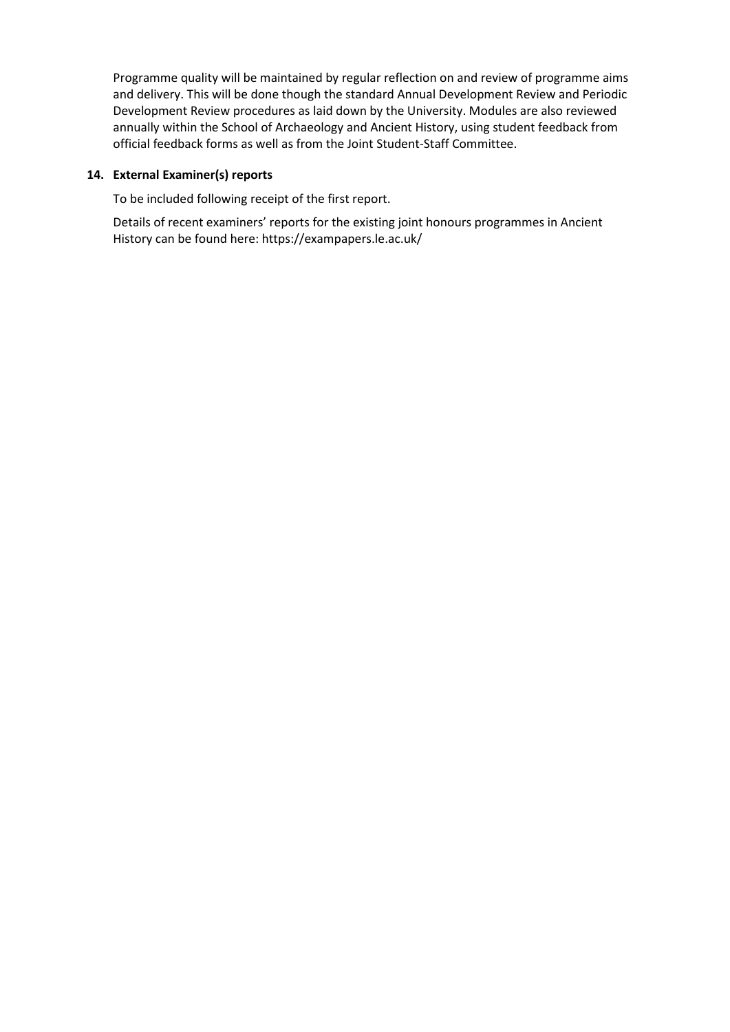Programme quality will be maintained by regular reflection on and review of programme aims and delivery. This will be done though the standard Annual Development Review and Periodic Development Review procedures as laid down by the University. Modules are also reviewed annually within the School of Archaeology and Ancient History, using student feedback from official feedback forms as well as from the Joint Student-Staff Committee.

## **14. External Examiner(s) reports**

To be included following receipt of the first report.

Details of recent examiners' reports for the existing joint honours programmes in Ancient History can be found here: https://exampapers.le.ac.uk/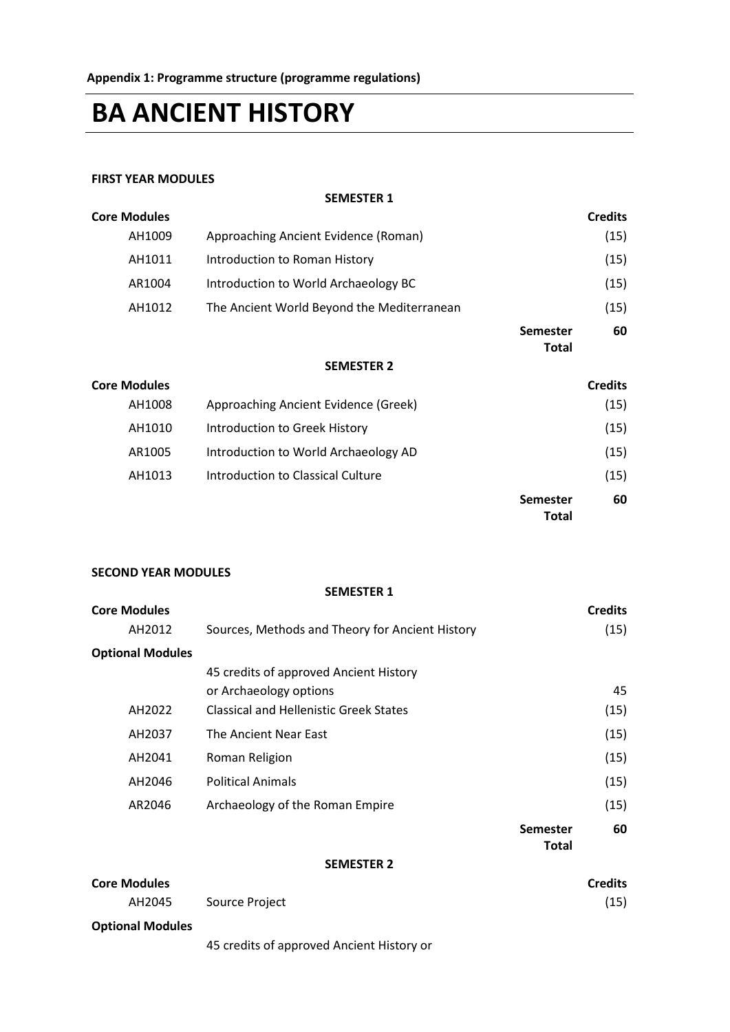# **BA ANCIENT HISTORY**

#### **FIRST YEAR MODULES**

**SEMESTER 1**

|                                            |                                 | <b>Credits</b> |
|--------------------------------------------|---------------------------------|----------------|
| Approaching Ancient Evidence (Roman)       |                                 | (15)           |
| Introduction to Roman History              |                                 | (15)           |
| Introduction to World Archaeology BC       |                                 | (15)           |
| The Ancient World Beyond the Mediterranean |                                 | (15)           |
|                                            | <b>Semester</b><br><b>Total</b> | 60             |
| <b>SEMESTER 2</b>                          |                                 |                |
|                                            |                                 | <b>Credits</b> |
| Approaching Ancient Evidence (Greek)       |                                 | (15)           |
| Introduction to Greek History              |                                 | (15)           |
| Introduction to World Archaeology AD       |                                 | (15)           |
| Introduction to Classical Culture          |                                 | (15)           |
|                                            | <b>Semester</b><br><b>Total</b> | 60             |
|                                            |                                 |                |

#### **SECOND YEAR MODULES**

**SEMESTER 1 Core Modules Credits** AH2012 Sources, Methods and Theory for Ancient History (15) **Optional Modules** 45 credits of approved Ancient History or Archaeology options 45 AH2022 Classical and Hellenistic Greek States (15) AH2037 The Ancient Near East (15) AH2041 Roman Religion (15) AH2046 Political Animals (15) AR2046 Archaeology of the Roman Empire (15) **Semester Total 60 SEMESTER 2**

| <b>Core Modules</b>     |                | <b>Credits</b> |
|-------------------------|----------------|----------------|
| AH2045                  | Source Project | (15)           |
| <b>Optional Modules</b> |                |                |

45 credits of approved Ancient History or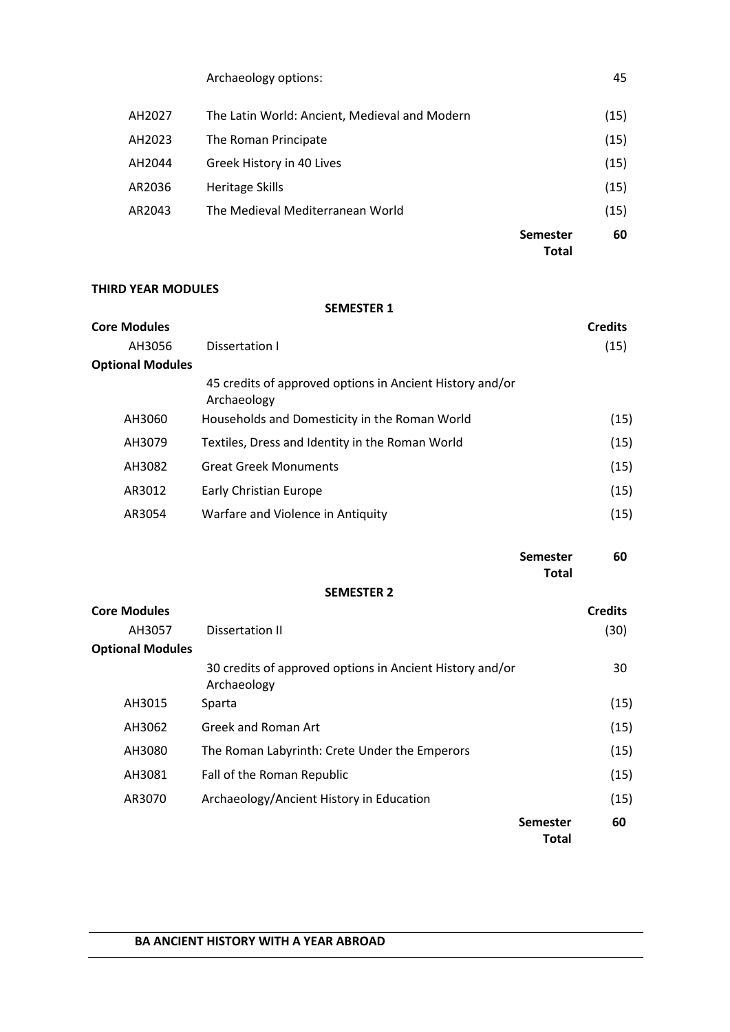|        | Archaeology options:                          |                                 | 45   |
|--------|-----------------------------------------------|---------------------------------|------|
| AH2027 | The Latin World: Ancient, Medieval and Modern |                                 | (15) |
| AH2023 | The Roman Principate                          |                                 | (15) |
| AH2044 | Greek History in 40 Lives                     |                                 | (15) |
| AR2036 | <b>Heritage Skills</b>                        |                                 | (15) |
| AR2043 | The Medieval Mediterranean World              |                                 | (15) |
|        |                                               | <b>Semester</b><br><b>Total</b> | 60   |

## **THIRD YEAR MODULES**

## **SEMESTER 1**

| <b>Core Modules</b>     |                                                                         | <b>Credits</b> |
|-------------------------|-------------------------------------------------------------------------|----------------|
| AH3056                  | Dissertation I                                                          | (15)           |
| <b>Optional Modules</b> |                                                                         |                |
|                         | 45 credits of approved options in Ancient History and/or<br>Archaeology |                |
| AH3060                  | Households and Domesticity in the Roman World                           | (15)           |
| AH3079                  | Textiles, Dress and Identity in the Roman World                         | (15)           |
| AH3082                  | <b>Great Greek Monuments</b>                                            | (15)           |
| AR3012                  | Early Christian Europe                                                  | (15)           |
| AR3054                  | Warfare and Violence in Antiquity                                       | (15)           |

#### **Semester 60 Total**

# **SEMESTER 2**

| <b>Core Modules</b>     |                                                                         |                                 | <b>Credits</b> |
|-------------------------|-------------------------------------------------------------------------|---------------------------------|----------------|
| AH3057                  | Dissertation II                                                         |                                 | (30)           |
| <b>Optional Modules</b> |                                                                         |                                 |                |
|                         | 30 credits of approved options in Ancient History and/or<br>Archaeology |                                 | 30             |
| AH3015                  | Sparta                                                                  |                                 | (15)           |
| AH3062                  | Greek and Roman Art                                                     |                                 | (15)           |
| AH3080                  | The Roman Labyrinth: Crete Under the Emperors                           |                                 | (15)           |
| AH3081                  | Fall of the Roman Republic                                              |                                 | (15)           |
| AR3070                  | Archaeology/Ancient History in Education                                |                                 | (15)           |
|                         |                                                                         | <b>Semester</b><br><b>Total</b> | 60             |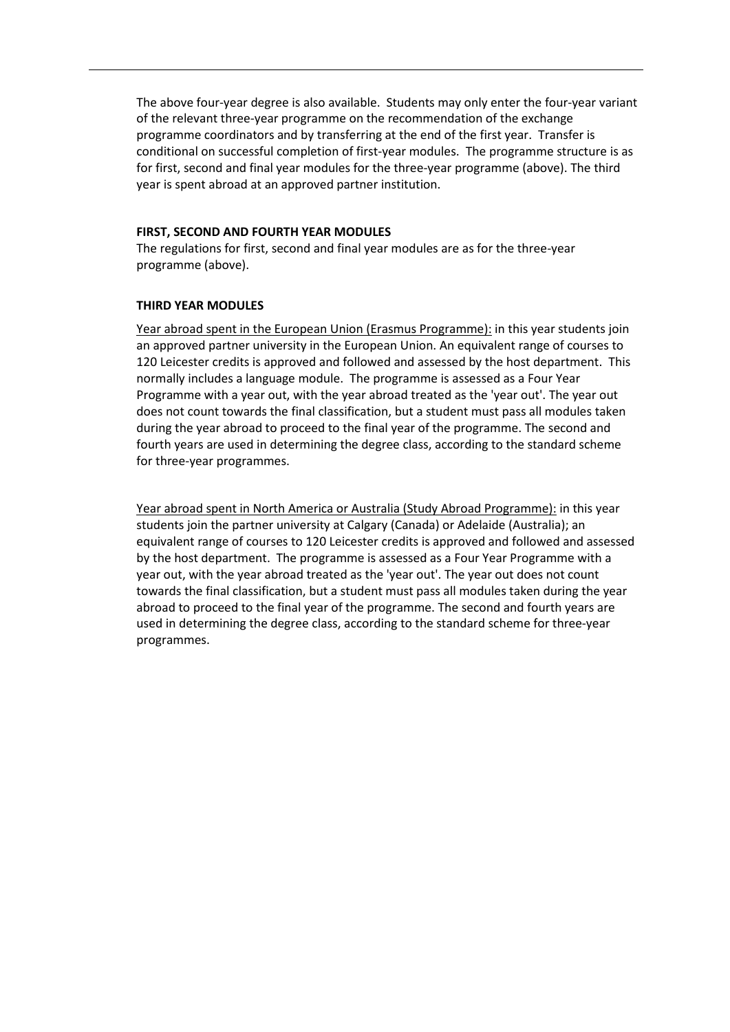The above four-year degree is also available. Students may only enter the four-year variant of the relevant three-year programme on the recommendation of the exchange programme coordinators and by transferring at the end of the first year. Transfer is conditional on successful completion of first-year modules. The programme structure is as for first, second and final year modules for the three-year programme (above). The third year is spent abroad at an approved partner institution.

#### **FIRST, SECOND AND FOURTH YEAR MODULES**

The regulations for first, second and final year modules are as for the three-year programme (above).

## **THIRD YEAR MODULES**

Year abroad spent in the European Union (Erasmus Programme): in this year students join an approved partner university in the European Union. An equivalent range of courses to 120 Leicester credits is approved and followed and assessed by the host department. This normally includes a language module. The programme is assessed as a Four Year Programme with a year out, with the year abroad treated as the 'year out'. The year out does not count towards the final classification, but a student must pass all modules taken during the year abroad to proceed to the final year of the programme. The second and fourth years are used in determining the degree class, according to the standard scheme for three-year programmes.

Year abroad spent in North America or Australia (Study Abroad Programme): in this year students join the partner university at Calgary (Canada) or Adelaide (Australia); an equivalent range of courses to 120 Leicester credits is approved and followed and assessed by the host department. The programme is assessed as a Four Year Programme with a year out, with the year abroad treated as the 'year out'. The year out does not count towards the final classification, but a student must pass all modules taken during the year abroad to proceed to the final year of the programme. The second and fourth years are used in determining the degree class, according to the standard scheme for three-year programmes.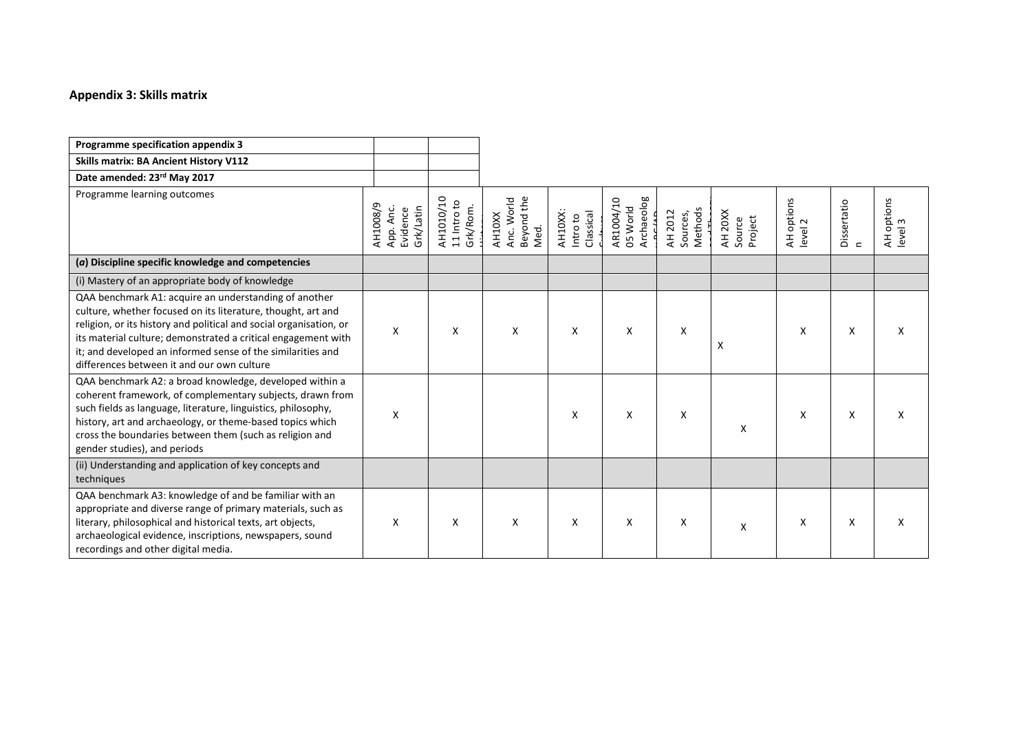# **Appendix 3: Skills matrix**

| Programme specification appendix 3                                                                                                                                                                                                                                                                                                                                                                                                                                                                                                                                                                                                                                                                                         |                                                |                                      |                                            |                                  |                                     |                                |                              |                       |                          |                       |
|----------------------------------------------------------------------------------------------------------------------------------------------------------------------------------------------------------------------------------------------------------------------------------------------------------------------------------------------------------------------------------------------------------------------------------------------------------------------------------------------------------------------------------------------------------------------------------------------------------------------------------------------------------------------------------------------------------------------------|------------------------------------------------|--------------------------------------|--------------------------------------------|----------------------------------|-------------------------------------|--------------------------------|------------------------------|-----------------------|--------------------------|-----------------------|
| <b>Skills matrix: BA Ancient History V112</b>                                                                                                                                                                                                                                                                                                                                                                                                                                                                                                                                                                                                                                                                              |                                                |                                      |                                            |                                  |                                     |                                |                              |                       |                          |                       |
| Date amended: 23rd May 2017                                                                                                                                                                                                                                                                                                                                                                                                                                                                                                                                                                                                                                                                                                |                                                |                                      |                                            |                                  |                                     |                                |                              |                       |                          |                       |
| Programme learning outcomes                                                                                                                                                                                                                                                                                                                                                                                                                                                                                                                                                                                                                                                                                                | AH1008/9<br>Grk/Latin<br>App. Anc.<br>Evidence | AH1010/10<br>11 Intro to<br>Grk/Rom. | Beyond the<br>Anc. World<br>AH10XX<br>Med. | AH10XX:<br>Classical<br>Intro to | Archaeolog<br>AR1004/10<br>05 World | Methods<br>AH 2012<br>Sources, | AH 20XX<br>Project<br>Source | AH options<br>level 2 | Dissertatio<br>$\subset$ | AH options<br>level 3 |
| $(a)$ Discipline specific knowledge and competencies                                                                                                                                                                                                                                                                                                                                                                                                                                                                                                                                                                                                                                                                       |                                                |                                      |                                            |                                  |                                     |                                |                              |                       |                          |                       |
| (i) Mastery of an appropriate body of knowledge                                                                                                                                                                                                                                                                                                                                                                                                                                                                                                                                                                                                                                                                            |                                                |                                      |                                            |                                  |                                     |                                |                              |                       |                          |                       |
| QAA benchmark A1: acquire an understanding of another<br>culture, whether focused on its literature, thought, art and<br>religion, or its history and political and social organisation, or<br>its material culture; demonstrated a critical engagement with<br>it; and developed an informed sense of the similarities and<br>differences between it and our own culture<br>QAA benchmark A2: a broad knowledge, developed within a<br>coherent framework, of complementary subjects, drawn from<br>such fields as language, literature, linguistics, philosophy,<br>history, art and archaeology, or theme-based topics which<br>cross the boundaries between them (such as religion and<br>gender studies), and periods | X<br>X                                         | X                                    | X                                          | X<br>X                           | X<br>X                              | X<br>X                         | X<br>X                       | X<br>X                | X<br>X                   | X<br>X                |
| (ii) Understanding and application of key concepts and<br>techniques                                                                                                                                                                                                                                                                                                                                                                                                                                                                                                                                                                                                                                                       |                                                |                                      |                                            |                                  |                                     |                                |                              |                       |                          |                       |
| QAA benchmark A3: knowledge of and be familiar with an<br>appropriate and diverse range of primary materials, such as<br>literary, philosophical and historical texts, art objects,<br>archaeological evidence, inscriptions, newspapers, sound<br>recordings and other digital media.                                                                                                                                                                                                                                                                                                                                                                                                                                     | X                                              | X                                    | X                                          | X                                | X                                   | X                              | X                            | X                     | X                        | X                     |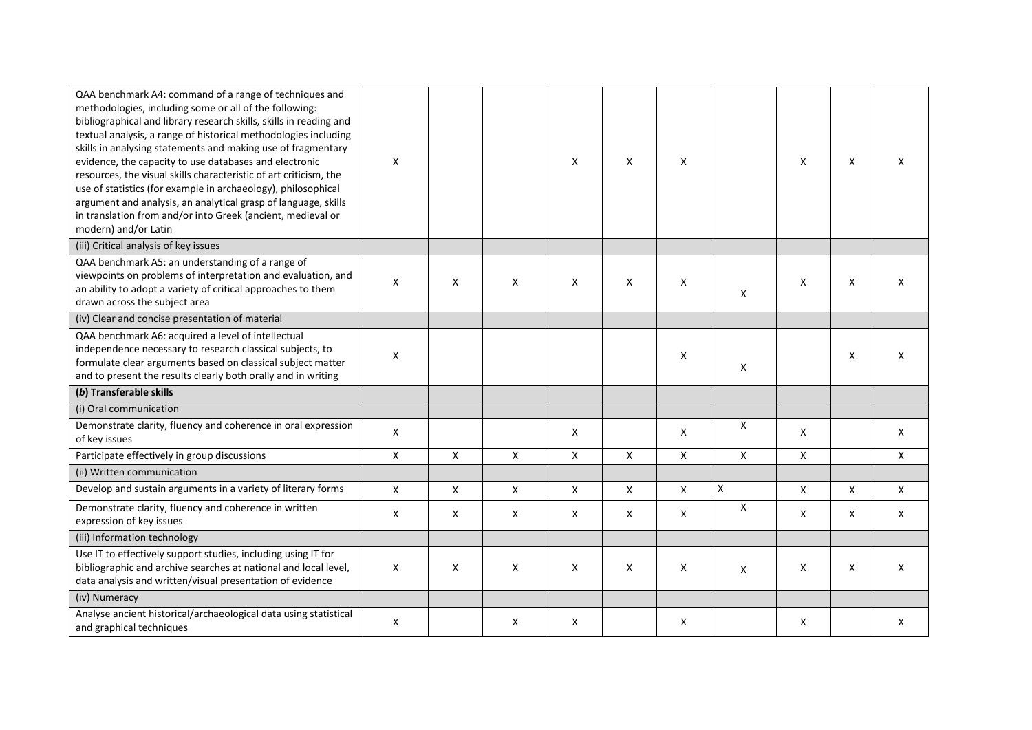| QAA benchmark A4: command of a range of techniques and<br>methodologies, including some or all of the following:<br>bibliographical and library research skills, skills in reading and<br>textual analysis, a range of historical methodologies including<br>skills in analysing statements and making use of fragmentary<br>evidence, the capacity to use databases and electronic<br>resources, the visual skills characteristic of art criticism, the<br>use of statistics (for example in archaeology), philosophical<br>argument and analysis, an analytical grasp of language, skills<br>in translation from and/or into Greek (ancient, medieval or<br>modern) and/or Latin | Χ            |   |   | X | X | $\mathsf{x}$ |                    | X | X | X |
|------------------------------------------------------------------------------------------------------------------------------------------------------------------------------------------------------------------------------------------------------------------------------------------------------------------------------------------------------------------------------------------------------------------------------------------------------------------------------------------------------------------------------------------------------------------------------------------------------------------------------------------------------------------------------------|--------------|---|---|---|---|--------------|--------------------|---|---|---|
| (iii) Critical analysis of key issues                                                                                                                                                                                                                                                                                                                                                                                                                                                                                                                                                                                                                                              |              |   |   |   |   |              |                    |   |   |   |
| QAA benchmark A5: an understanding of a range of<br>viewpoints on problems of interpretation and evaluation, and<br>an ability to adopt a variety of critical approaches to them<br>drawn across the subject area                                                                                                                                                                                                                                                                                                                                                                                                                                                                  | X            | X | X | X | X | x            | X                  | X | X | X |
| (iv) Clear and concise presentation of material                                                                                                                                                                                                                                                                                                                                                                                                                                                                                                                                                                                                                                    |              |   |   |   |   |              |                    |   |   |   |
| QAA benchmark A6: acquired a level of intellectual<br>independence necessary to research classical subjects, to<br>formulate clear arguments based on classical subject matter<br>and to present the results clearly both orally and in writing                                                                                                                                                                                                                                                                                                                                                                                                                                    | X            |   |   |   |   | X            | X                  |   | X | X |
| (b) Transferable skills                                                                                                                                                                                                                                                                                                                                                                                                                                                                                                                                                                                                                                                            |              |   |   |   |   |              |                    |   |   |   |
| (i) Oral communication                                                                                                                                                                                                                                                                                                                                                                                                                                                                                                                                                                                                                                                             |              |   |   |   |   |              |                    |   |   |   |
| Demonstrate clarity, fluency and coherence in oral expression<br>of key issues                                                                                                                                                                                                                                                                                                                                                                                                                                                                                                                                                                                                     | X            |   |   | X |   | X            | X                  | Χ |   | Χ |
| Participate effectively in group discussions                                                                                                                                                                                                                                                                                                                                                                                                                                                                                                                                                                                                                                       | Χ            | X | Χ | X | X | X            | Χ                  | X |   | X |
| (ii) Written communication                                                                                                                                                                                                                                                                                                                                                                                                                                                                                                                                                                                                                                                         |              |   |   |   |   |              |                    |   |   |   |
| Develop and sustain arguments in a variety of literary forms                                                                                                                                                                                                                                                                                                                                                                                                                                                                                                                                                                                                                       | $\mathsf{X}$ | Χ | X | X | X | X            | $\pmb{\mathsf{X}}$ | X | X | X |
| Demonstrate clarity, fluency and coherence in written<br>expression of key issues                                                                                                                                                                                                                                                                                                                                                                                                                                                                                                                                                                                                  | X            | X | Χ | X | X | X            | Χ                  | X | Χ | X |
| (iii) Information technology                                                                                                                                                                                                                                                                                                                                                                                                                                                                                                                                                                                                                                                       |              |   |   |   |   |              |                    |   |   |   |
| Use IT to effectively support studies, including using IT for<br>bibliographic and archive searches at national and local level,<br>data analysis and written/visual presentation of evidence                                                                                                                                                                                                                                                                                                                                                                                                                                                                                      | X            | X | X | X | X | X            | Χ                  | X | X | X |
| (iv) Numeracy                                                                                                                                                                                                                                                                                                                                                                                                                                                                                                                                                                                                                                                                      |              |   |   |   |   |              |                    |   |   |   |
| Analyse ancient historical/archaeological data using statistical<br>and graphical techniques                                                                                                                                                                                                                                                                                                                                                                                                                                                                                                                                                                                       | X            |   | X | X |   | X            |                    | X |   | Χ |